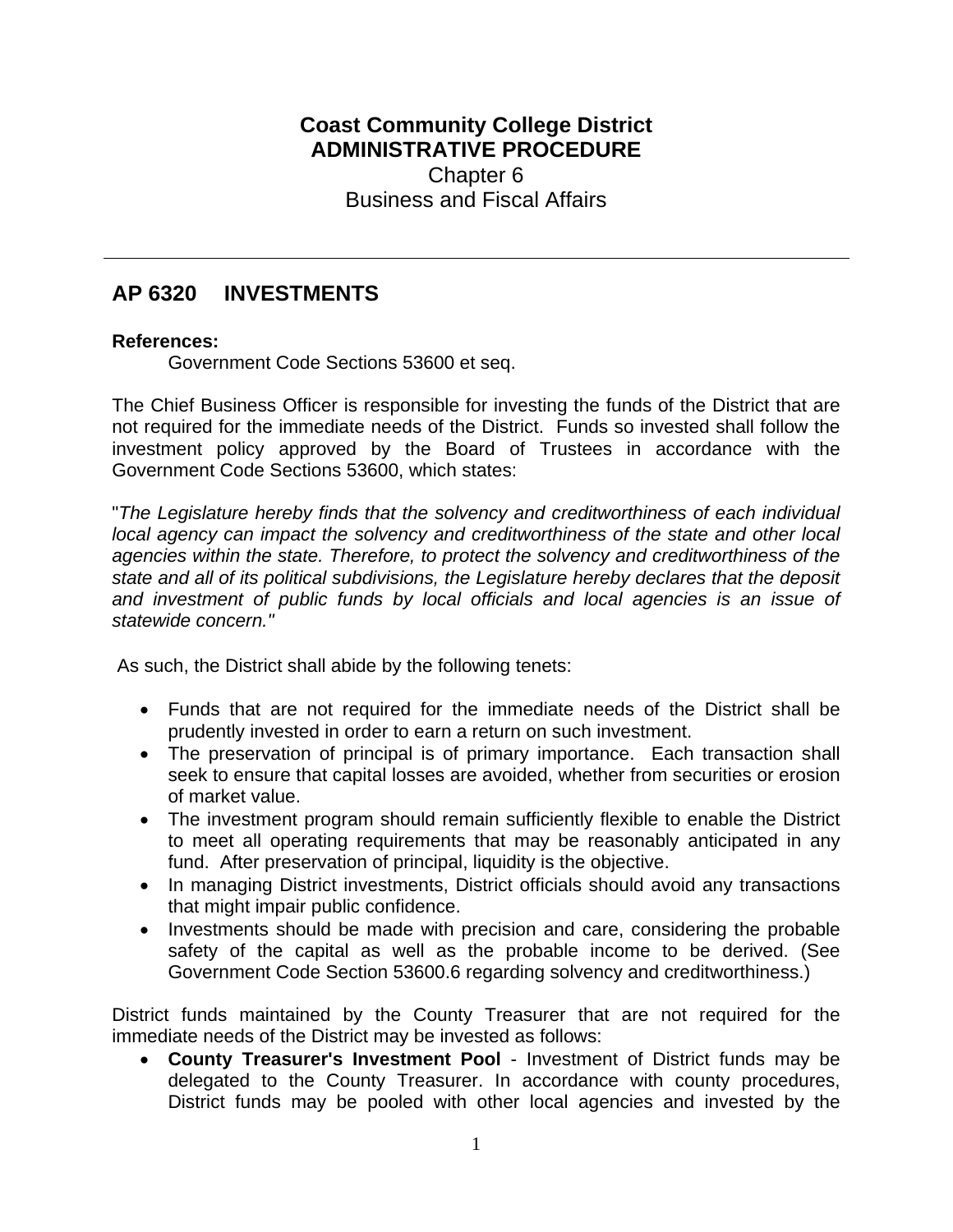## **Coast Community College District ADMINISTRATIVE PROCEDURE** Chapter 6 Business and Fiscal Affairs

## **AP 6320 INVESTMENTS**

## **References:**

Government Code Sections 53600 et seq.

The Chief Business Officer is responsible for investing the funds of the District that are not required for the immediate needs of the District. Funds so invested shall follow the investment policy approved by the Board of Trustees in accordance with the Government Code Sections 53600, which states:

"*The Legislature hereby finds that the solvency and creditworthiness of each individual local agency can impact the solvency and creditworthiness of the state and other local agencies within the state. Therefore, to protect the solvency and creditworthiness of the state and all of its political subdivisions, the Legislature hereby declares that the deposit and investment of public funds by local officials and local agencies is an issue of statewide concern."*

As such, the District shall abide by the following tenets:

- Funds that are not required for the immediate needs of the District shall be prudently invested in order to earn a return on such investment.
- The preservation of principal is of primary importance. Each transaction shall seek to ensure that capital losses are avoided, whether from securities or erosion of market value.
- The investment program should remain sufficiently flexible to enable the District to meet all operating requirements that may be reasonably anticipated in any fund. After preservation of principal, liquidity is the objective.
- In managing District investments, District officials should avoid any transactions that might impair public confidence.
- Investments should be made with precision and care, considering the probable safety of the capital as well as the probable income to be derived. (See Government Code Section 53600.6 regarding solvency and creditworthiness.)

District funds maintained by the County Treasurer that are not required for the immediate needs of the District may be invested as follows:

 **County Treasurer's Investment Pool** - Investment of District funds may be delegated to the County Treasurer. In accordance with county procedures, District funds may be pooled with other local agencies and invested by the